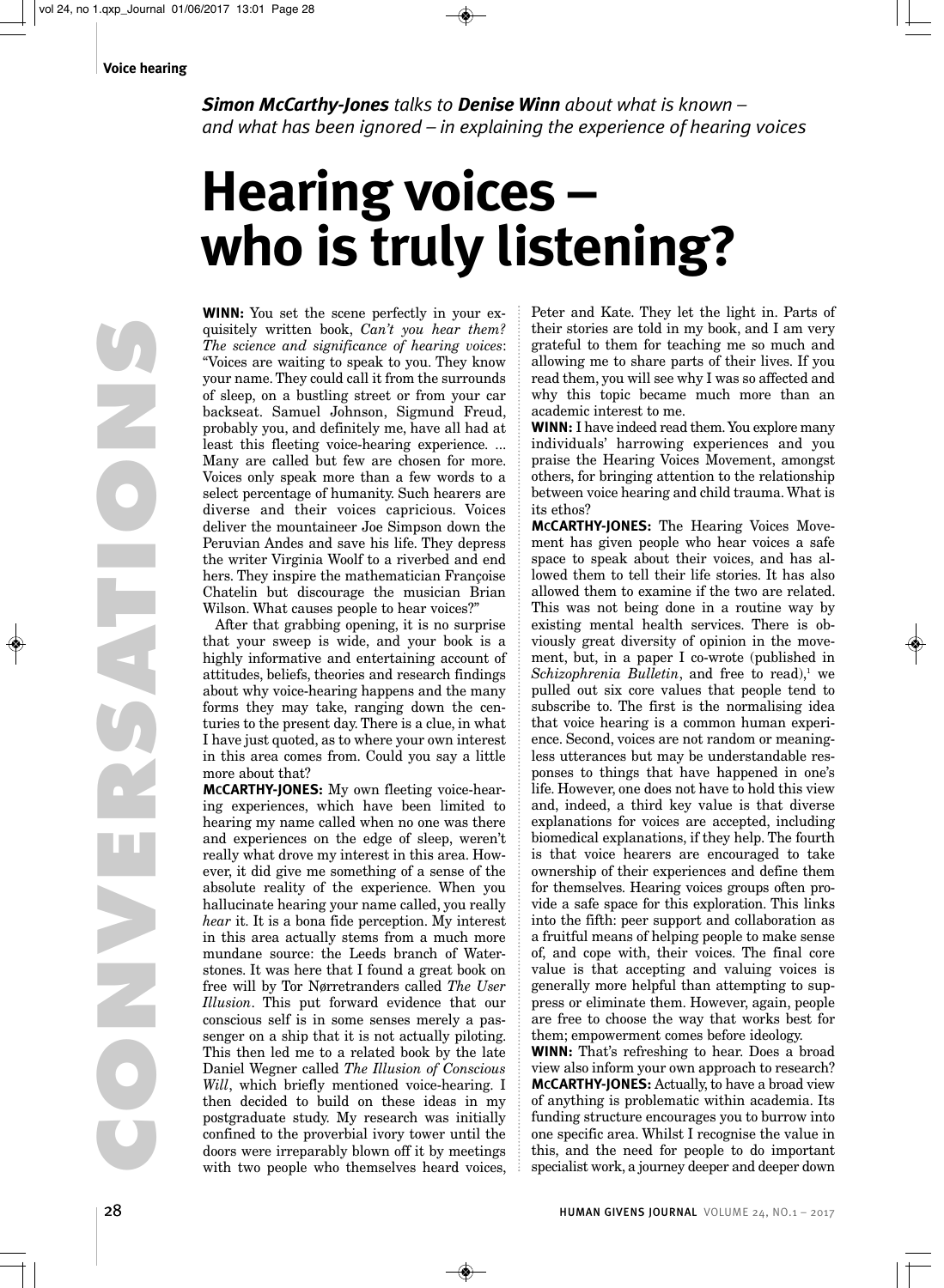*Simon McCarthy-Jones talks to Denise Winn about what is known – and what has been ignored – in explaining the experience of hearing voices*

# **Hearing voices – who is truly listening?**

**WINN:** You set the scene perfectly in your exquisitely written book, *Can't you hear them? The science and significance of hearing voices*: "Voices are waiting to speak to you. They know your name. They could call it from the surrounds of sleep, on a bustling street or from your car backseat. Samuel Johnson, Sigmund Freud, probably you, and definitely me, have all had at least this fleeting voice-hearing experience. ... Many are called but few are chosen for more. Voices only speak more than a few words to a select percentage of humanity. Such hearers are diverse and their voices capricious. Voices deliver the mountaineer Joe Simpson down the Peruvian Andes and save his life. They depress the writer Virginia Woolf to a riverbed and end hers. They inspire the mathematician Françoise Chatelin but discourage the musician Brian Wilson. What causes people to hear voices?"

After that grabbing opening, it is no surprise that your sweep is wide, and your book is a highly informative and entertaining account of attitudes, beliefs, theories and research findings about why voice-hearing happens and the many forms they may take, ranging down the centuries to the present day. There is a clue, in what I have just quoted, as to where your own interest in this area comes from. Could you say a little more about that?

**MCCARTHY-JONES:** My own fleeting voice-hearing experiences, which have been limited to hearing my name called when no one was there and experiences on the edge of sleep, weren't really what drove my interest in this area. However, it did give me something of a sense of the absolute reality of the experience. When you hallucinate hearing your name called, you really *hear* it. It is a bona fide perception. My interest in this area actually stems from a much more mundane source: the Leeds branch of Waterstones. It was here that I found a great book on free will by Tor Nørretranders called *The User Illusion*. This put forward evidence that our conscious self is in some senses merely a passenger on a ship that it is not actually piloting. This then led me to a related book by the late Daniel Wegner called *The Illusion of Conscious Will*, which briefly mentioned voice-hearing. I then decided to build on these ideas in my postgraduate study. My research was initially confined to the proverbial ivory tower until the doors were irreparably blown off it by meetings with two people who themselves heard voices,

Peter and Kate. They let the light in. Parts of their stories are told in my book, and I am very grateful to them for teaching me so much and allowing me to share parts of their lives. If you read them, you will see why I was so affected and why this topic became much more than an academic interest to me.

**WINN:** I have indeed read them. You explore many individuals' harrowing experiences and you praise the Hearing Voices Movement, amongst others, for bringing attention to the relationship between voice hearing and child trauma. What is its ethos?

**MCCARTHY-JONES:** The Hearing Voices Movement has given people who hear voices a safe space to speak about their voices, and has allowed them to tell their life stories. It has also allowed them to examine if the two are related. This was not being done in a routine way by existing mental health services. There is obviously great diversity of opinion in the movement, but, in a paper I co-wrote (published in *Schizophrenia Bulletin*, and free to read),<sup>1</sup> we pulled out six core values that people tend to subscribe to. The first is the normalising idea that voice hearing is a common human experience. Second, voices are not random or meaningless utterances but may be understandable responses to things that have happened in one's life. However, one does not have to hold this view and, indeed, a third key value is that diverse explanations for voices are accepted, including biomedical explanations, if they help. The fourth is that voice hearers are encouraged to take ownership of their experiences and define them for themselves. Hearing voices groups often provide a safe space for this exploration. This links into the fifth: peer support and collaboration as a fruitful means of helping people to make sense of, and cope with, their voices. The final core value is that accepting and valuing voices is generally more helpful than attempting to suppress or eliminate them. However, again, people are free to choose the way that works best for them; empowerment comes before ideology.

**WINN:** That's refreshing to hear. Does a broad view also inform your own approach to research? **MCCARTHY-JONES:** Actually, to have a broad view of anything is problematic within academia. Its funding structure encourages you to burrow into one specific area. Whilst I recognise the value in this, and the need for people to do important specialist work, a journey deeper and deeper down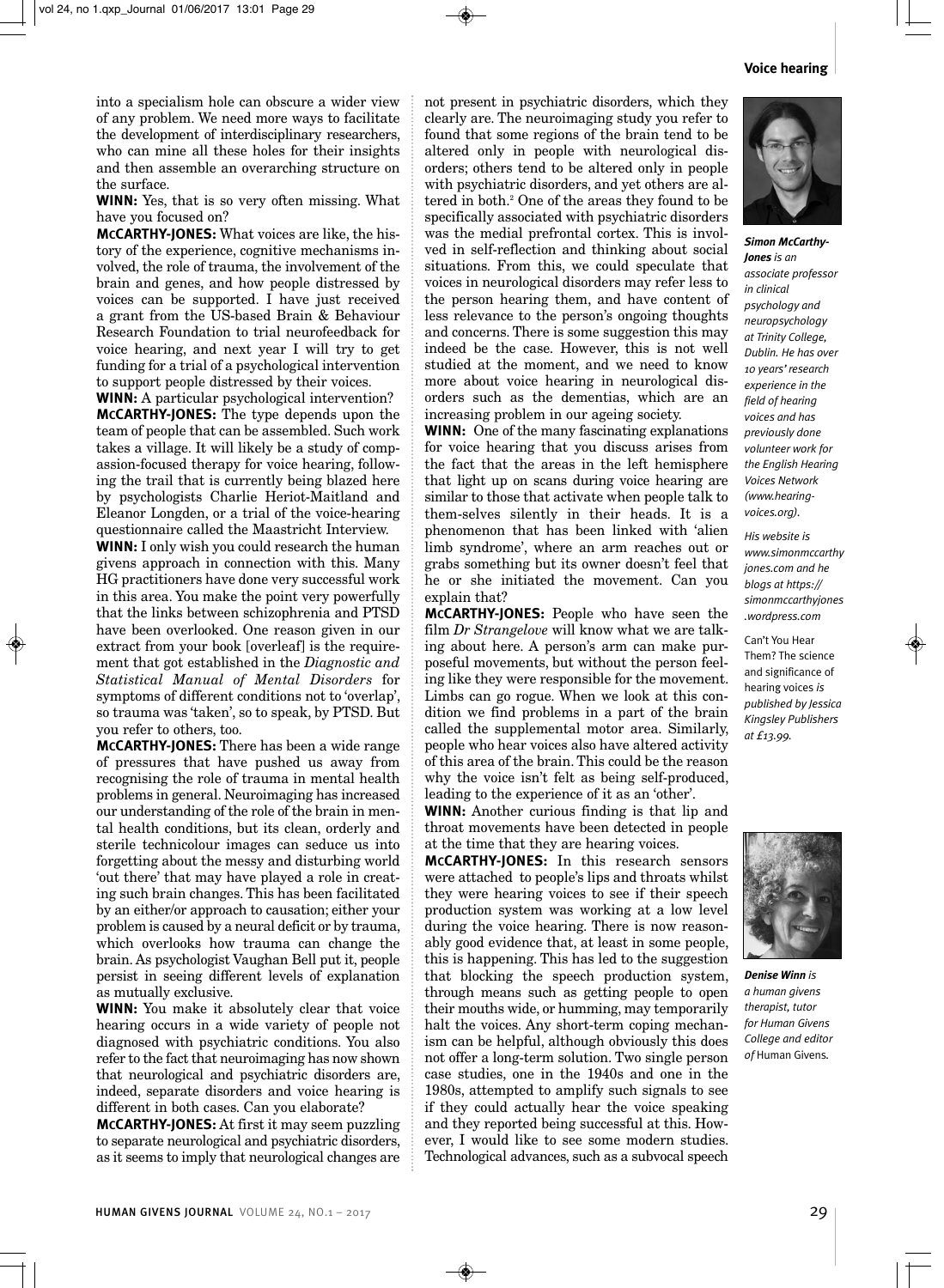#### **Voice hearing**

into a specialism hole can obscure a wider view of any problem. We need more ways to facilitate the development of interdisciplinary researchers, who can mine all these holes for their insights and then assemble an overarching structure on the surface.

**WINN:** Yes, that is so very often missing. What have you focused on?

**MCCARTHY-JONES:** What voices are like, the history of the experience, cognitive mechanisms involved, the role of trauma, the involvement of the brain and genes, and how people distressed by voices can be supported. I have just received a grant from the US-based Brain & Behaviour Research Foundation to trial neurofeedback for voice hearing, and next year I will try to get funding for a trial of a psychological intervention to support people distressed by their voices.

**WINN:** A particular psychological intervention? **MCCARTHY-JONES:** The type depends upon the team of people that can be assembled. Such work takes a village. It will likely be a study of compassion-focused therapy for voice hearing, following the trail that is currently being blazed here by psychologists Charlie Heriot-Maitland and Eleanor Longden, or a trial of the voice-hearing questionnaire called the Maastricht Interview.

**WINN:** I only wish you could research the human givens approach in connection with this. Many HG practitioners have done very successful work in this area. You make the point very powerfully that the links between schizophrenia and PTSD have been overlooked. One reason given in our extract from your book [overleaf] is the requirement that got established in the *Diagnostic and Statistical Manual of Mental Disorders* for symptoms of different conditions not to 'overlap', so trauma was 'taken', so to speak, by PTSD. But you refer to others, too.

**MCCARTHY-JONES:** There has been a wide range of pressures that have pushed us away from recognising the role of trauma in mental health problems in general. Neuroimaging has increased our understanding of the role of the brain in mental health conditions, but its clean, orderly and sterile technicolour images can seduce us into forgetting about the messy and disturbing world 'out there' that may have played a role in creating such brain changes. This has been facilitated by an either/or approach to causation; either your problem is caused by a neural deficit or by trauma, which overlooks how trauma can change the brain. As psychologist Vaughan Bell put it, people persist in seeing different levels of explanation as mutually exclusive.

**WINN:** You make it absolutely clear that voice hearing occurs in a wide variety of people not diagnosed with psychiatric conditions. You also refer to the fact that neuroimaging has now shown that neurological and psychiatric disorders are, indeed, separate disorders and voice hearing is different in both cases. Can you elaborate?

**MCCARTHY-JONES:** At first it may seem puzzling to separate neurological and psychiatric disorders, as it seems to imply that neurological changes are

not present in psychiatric disorders, which they clearly are. The neuroimaging study you refer to found that some regions of the brain tend to be altered only in people with neurological disorders; others tend to be altered only in people with psychiatric disorders, and yet others are altered in both.2 One of the areas they found to be specifically associated with psychiatric disorders was the medial prefrontal cortex. This is involved in self-reflection and thinking about social situations. From this, we could speculate that voices in neurological disorders may refer less to the person hearing them, and have content of less relevance to the person's ongoing thoughts and concerns. There is some suggestion this may indeed be the case. However, this is not well studied at the moment, and we need to know more about voice hearing in neurological disorders such as the dementias, which are an increasing problem in our ageing society.

**WINN:** One of the many fascinating explanations for voice hearing that you discuss arises from the fact that the areas in the left hemisphere that light up on scans during voice hearing are similar to those that activate when people talk to them-selves silently in their heads. It is a phenomenon that has been linked with 'alien limb syndrome', where an arm reaches out or grabs something but its owner doesn't feel that he or she initiated the movement. Can you explain that?

**MCCARTHY-JONES:** People who have seen the film *Dr Strangelove* will know what we are talking about here. A person's arm can make purposeful movements, but without the person feeling like they were responsible for the movement. Limbs can go rogue. When we look at this condition we find problems in a part of the brain called the supplemental motor area. Similarly, people who hear voices also have altered activity of this area of the brain. This could be the reason why the voice isn't felt as being self-produced, leading to the experience of it as an 'other'.

**WINN:** Another curious finding is that lip and throat movements have been detected in people at the time that they are hearing voices.

**MCCARTHY-JONES:** In this research sensors were attached to people's lips and throats whilst they were hearing voices to see if their speech production system was working at a low level during the voice hearing. There is now reasonably good evidence that, at least in some people, this is happening. This has led to the suggestion that blocking the speech production system, through means such as getting people to open their mouths wide, or humming, may temporarily halt the voices. Any short-term coping mechanism can be helpful, although obviously this does not offer a long-term solution. Two single person case studies, one in the 1940s and one in the 1980s, attempted to amplify such signals to see if they could actually hear the voice speaking and they reported being successful at this. However, I would like to see some modern studies. Technological advances, such as a subvocal speech



*Simon McCarthy-Jones is an associate professor in clinical psychology and neuropsychology at Trinity College, Dublin. He has over 10 years' research experience in the field of hearing voices and has previously done volunteer work for the English Hearing Voices Network (www.hearingvoices.org).* 

*His website is www.simonmccarthy jones.com and he blogs at https:// simonmccarthyjones .wordpress.com*

Can't You Hear Them? The science and significance of hearing voices *is published by Jessica Kingsley Publishers at £13.99.*



*Denise Winn is a human givens therapist, tutor for Human Givens College and editor of* Human Givens*.*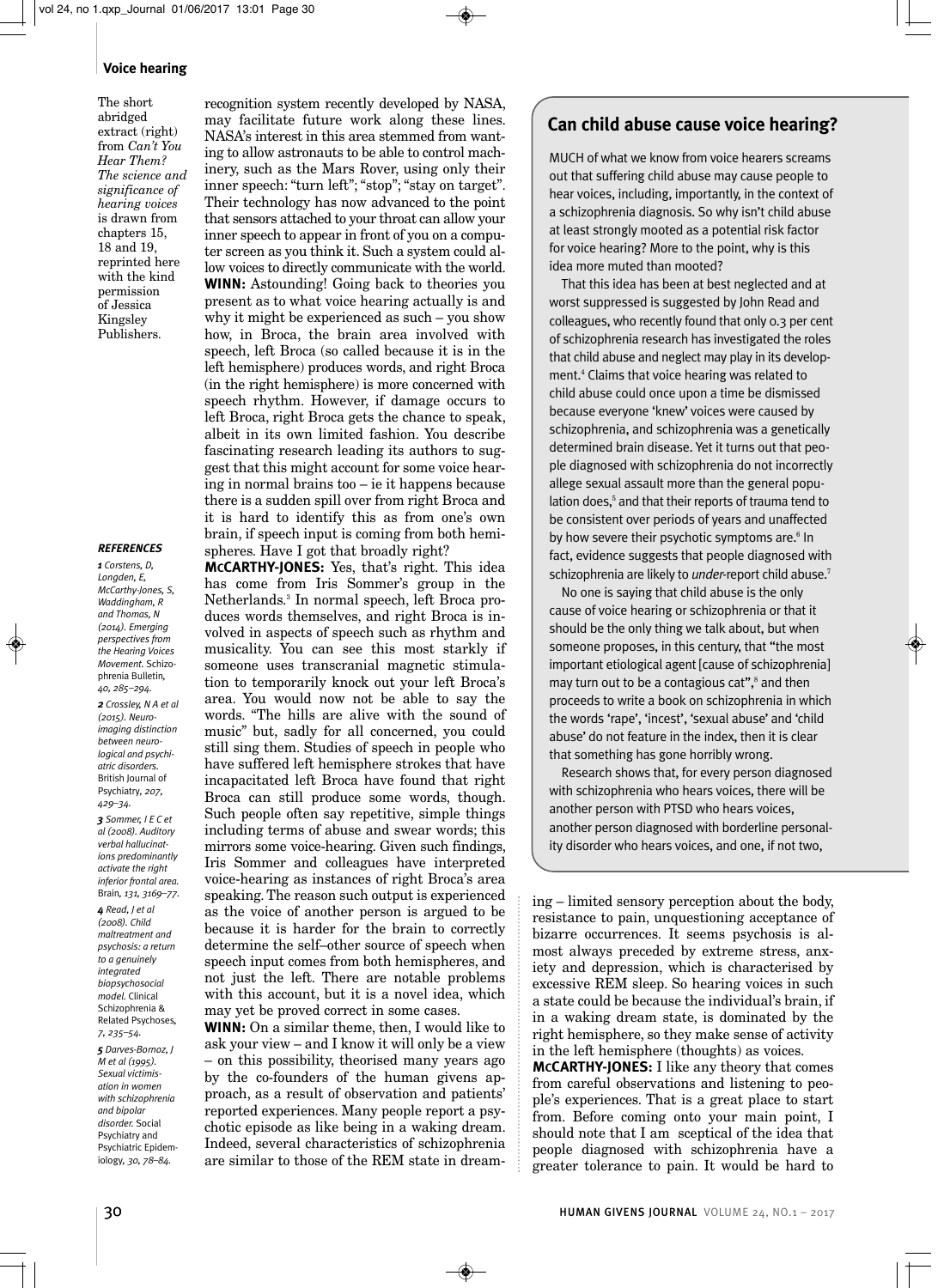#### **Voice hearing**

The short abridged extract (right) from *Can't You Hear Them? The science and significance of hearing voices* is drawn from chapters 15, 18 and 19, reprinted here with the kind permission of Jessica Kingsley Publishers.

#### *REFERENCES*

*1 Corstens, D, Longden, E, McCarthy-Jones, S, Waddingham, R and Thomas, N (2014). Emerging perspectives from the Hearing Voices Movement.* Schizophrenia Bulletin*, 40, 285–294.* 

*2 Crossley, N A et al (2015). Neuroimaging distinction between neurological and psychiatric disorders.* British Journal of Psychiatry*, 207, 429–34.*

*3 Sommer, I E C et al (2008). Auditory verbal hallucinations predominantly activate the right inferior frontal area.* Brain*, 131, 3169–77.*

*4 Read, J et al (2008). Child maltreatment and psychosis: a return to a genuinely integrated biopsychosocial model.* Clinical Schizophrenia & Related Psychoses*, 7, 235–54. 5 Darves-Bornoz, J M et al (1995). Sexual victimisation in women with schizophrenia and bipolar disorder.* Social Psychiatry and Psychiatric Epidemiology*, 30, 78–84.*

recognition system recently developed by NASA, may facilitate future work along these lines. NASA's interest in this area stemmed from wanting to allow astronauts to be able to control machinery, such as the Mars Rover, using only their inner speech: "turn left"; "stop"; "stay on target". Their technology has now advanced to the point that sensors attached to your throat can allow your inner speech to appear in front of you on a computer screen as you think it. Such a system could allow voices to directly communicate with the world. **WINN:** Astounding! Going back to theories you present as to what voice hearing actually is and why it might be experienced as such – you show how, in Broca, the brain area involved with speech, left Broca (so called because it is in the left hemisphere) produces words, and right Broca (in the right hemisphere) is more concerned with speech rhythm. However, if damage occurs to left Broca, right Broca gets the chance to speak, albeit in its own limited fashion. You describe fascinating research leading its authors to suggest that this might account for some voice hearing in normal brains too – ie it happens because there is a sudden spill over from right Broca and it is hard to identify this as from one's own brain, if speech input is coming from both hemispheres. Have I got that broadly right?

**MCCARTHY-JONES:** Yes, that's right. This idea has come from Iris Sommer's group in the Netherlands.3 In normal speech, left Broca produces words themselves, and right Broca is involved in aspects of speech such as rhythm and musicality. You can see this most starkly if someone uses transcranial magnetic stimulation to temporarily knock out your left Broca's area. You would now not be able to say the words. "The hills are alive with the sound of music" but, sadly for all concerned, you could still sing them. Studies of speech in people who have suffered left hemisphere strokes that have incapacitated left Broca have found that right Broca can still produce some words, though. Such people often say repetitive, simple things including terms of abuse and swear words; this mirrors some voice-hearing. Given such findings, Iris Sommer and colleagues have interpreted voice-hearing as instances of right Broca's area speaking. The reason such output is experienced as the voice of another person is argued to be because it is harder for the brain to correctly determine the self–other source of speech when speech input comes from both hemispheres, and not just the left. There are notable problems with this account, but it is a novel idea, which may yet be proved correct in some cases.

**WINN:** On a similar theme, then, I would like to ask your view – and I know it will only be a view – on this possibility, theorised many years ago by the co-founders of the human givens approach, as a result of observation and patients' reported experiences. Many people report a psychotic episode as like being in a waking dream. Indeed, several characteristics of schizophrenia are similar to those of the REM state in dream-

# **Can child abuse cause voice hearing?**

MUCH of what we know from voice hearers screams out that suffering child abuse may cause people to hear voices, including, importantly, in the context of a schizophrenia diagnosis. So why isn't child abuse at least strongly mooted as a potential risk factor for voice hearing? More to the point, why is this idea more muted than mooted?

That this idea has been at best neglected and at worst suppressed is suggested by John Read and colleagues, who recently found that only 0.3 per cent of schizophrenia research has investigated the roles that child abuse and neglect may play in its development.<sup>4</sup> Claims that voice hearing was related to child abuse could once upon a time be dismissed because everyone 'knew' voices were caused by schizophrenia, and schizophrenia was a genetically determined brain disease. Yet it turns out that people diagnosed with schizophrenia do not incorrectly allege sexual assault more than the general population does,<sup>5</sup> and that their reports of trauma tend to be consistent over periods of years and unaffected by how severe their psychotic symptoms are.<sup>6</sup> In fact, evidence suggests that people diagnosed with schizophrenia are likely to *under-*report child abuse.<sup>7</sup>

No one is saying that child abuse is the only cause of voice hearing or schizophrenia or that it should be the only thing we talk about, but when someone proposes, in this century, that "the most important etiological agent [cause of schizophrenia] may turn out to be a contagious cat",<sup>8</sup> and then proceeds to write a book on schizophrenia in which the words 'rape', 'incest', 'sexual abuse' and 'child abuse' do not feature in the index, then it is clear that something has gone horribly wrong.

Research shows that, for every person diagnosed with schizophrenia who hears voices, there will be another person with PTSD who hears voices, another person diagnosed with borderline personality disorder who hears voices, and one, if not two,

ing – limited sensory perception about the body, resistance to pain, unquestioning acceptance of bizarre occurrences. It seems psychosis is almost always preceded by extreme stress, anxiety and depression, which is characterised by excessive REM sleep. So hearing voices in such a state could be because the individual's brain, if in a waking dream state, is dominated by the right hemisphere, so they make sense of activity in the left hemisphere (thoughts) as voices.

**MCCARTHY-JONES:** I like any theory that comes from careful observations and listening to people's experiences. That is a great place to start from. Before coming onto your main point, I should note that I am sceptical of the idea that people diagnosed with schizophrenia have a greater tolerance to pain. It would be hard to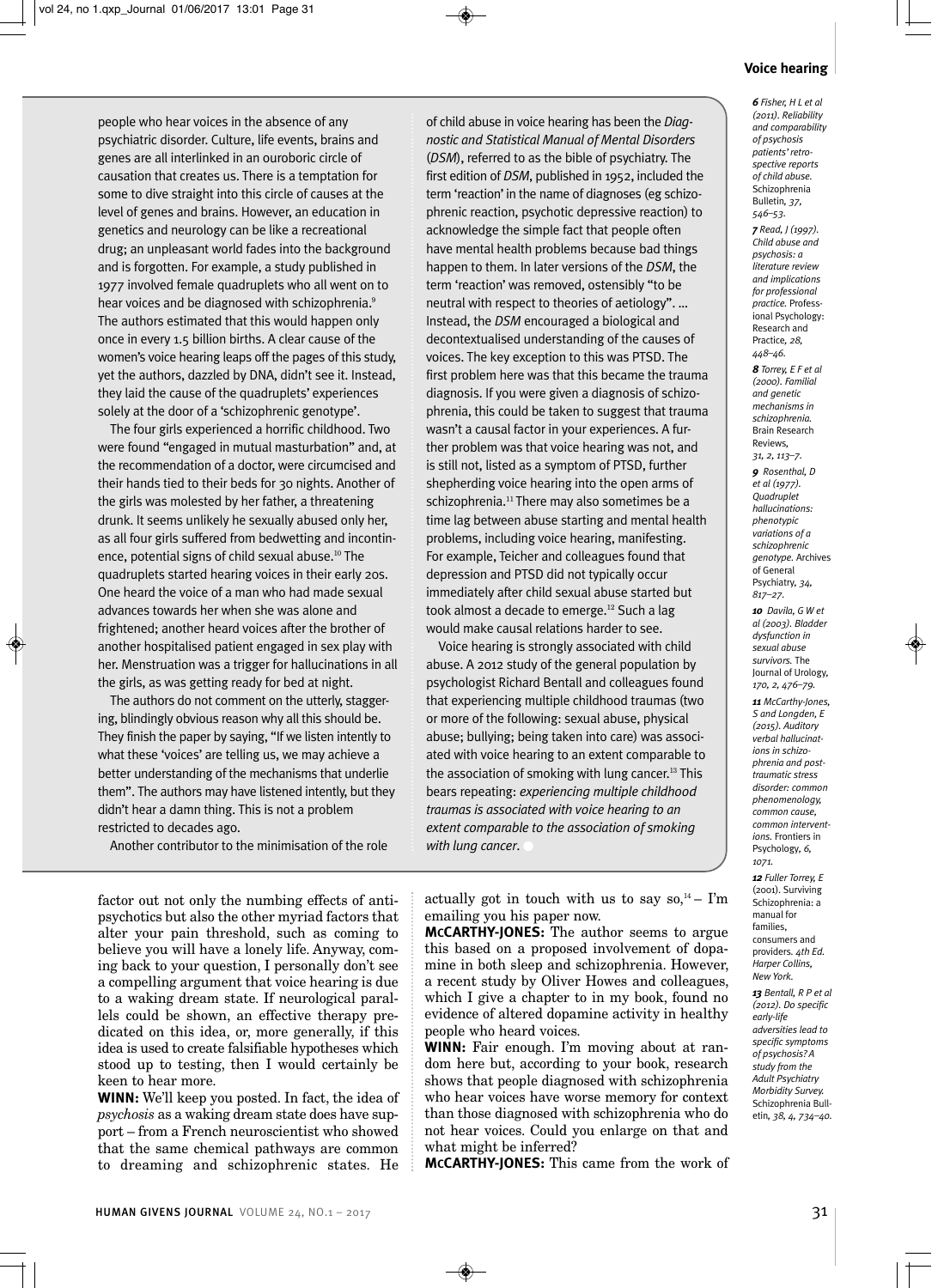people who hear voices in the absence of any psychiatric disorder. Culture, life events, brains and genes are all interlinked in an ouroboric circle of causation that creates us. There is a temptation for some to dive straight into this circle of causes at the level of genes and brains. However, an education in genetics and neurology can be like a recreational drug; an unpleasant world fades into the background and is forgotten. For example, a study published in 1977 involved female quadruplets who all went on to hear voices and be diagnosed with schizophrenia.<sup>9</sup> The authors estimated that this would happen only once in every 1.5 billion births. A clear cause of the women's voice hearing leaps off the pages of this study, yet the authors, dazzled by DNA, didn't see it. Instead, they laid the cause of the quadruplets' experiences solely at the door of a 'schizophrenic genotype'.

The four girls experienced a horrific childhood. Two were found "engaged in mutual masturbation" and, at the recommendation of a doctor, were circumcised and their hands tied to their beds for 30 nights. Another of the girls was molested by her father, a threatening drunk. It seems unlikely he sexually abused only her, as all four girls suffered from bedwetting and incontinence, potential signs of child sexual abuse.<sup>10</sup> The quadruplets started hearing voices in their early 20s. One heard the voice of a man who had made sexual advances towards her when she was alone and frightened; another heard voices after the brother of another hospitalised patient engaged in sex play with her. Menstruation was a trigger for hallucinations in all the girls, as was getting ready for bed at night.

The authors do not comment on the utterly, staggering, blindingly obvious reason why all this should be. They finish the paper by saying, "If we listen intently to what these 'voices' are telling us, we may achieve a better understanding of the mechanisms that underlie them". The authors may have listened intently, but they didn't hear a damn thing. This is not a problem restricted to decades ago.

Another contributor to the minimisation of the role

of child abuse in voice hearing has been the *Diagnostic and Statistical Manual of Mental Disorders* (*DSM*), referred to as the bible of psychiatry. The first edition of *DSM*, published in 1952, included the term 'reaction' in the name of diagnoses (eg schizophrenic reaction, psychotic depressive reaction) to acknowledge the simple fact that people often have mental health problems because bad things happen to them. In later versions of the *DSM*, the term 'reaction' was removed, ostensibly "to be neutral with respect to theories of aetiology". … Instead, the *DSM* encouraged a biological and decontextualised understanding of the causes of voices. The key exception to this was PTSD. The first problem here was that this became the trauma diagnosis. If you were given a diagnosis of schizophrenia, this could be taken to suggest that trauma wasn't a causal factor in your experiences. A further problem was that voice hearing was not, and is still not, listed as a symptom of PTSD, further shepherding voice hearing into the open arms of schizophrenia.<sup>11</sup> There may also sometimes be a time lag between abuse starting and mental health problems, including voice hearing, manifesting. For example, Teicher and colleagues found that depression and PTSD did not typically occur immediately after child sexual abuse started but took almost a decade to emerge.<sup>12</sup> Such a lag would make causal relations harder to see.

Voice hearing is strongly associated with child abuse. A 2012 study of the general population by psychologist Richard Bentall and colleagues found that experiencing multiple childhood traumas (two or more of the following: sexual abuse, physical abuse; bullying; being taken into care) was associated with voice hearing to an extent comparable to the association of smoking with lung cancer.<sup>13</sup> This bears repeating: *experiencing multiple childhood traumas is associated with voice hearing to an extent comparable to the association of smoking* with lung cancer.

factor out not only the numbing effects of antipsychotics but also the other myriad factors that alter your pain threshold, such as coming to believe you will have a lonely life. Anyway, coming back to your question, I personally don't see a compelling argument that voice hearing is due to a waking dream state. If neurological parallels could be shown, an effective therapy predicated on this idea, or, more generally, if this idea is used to create falsifiable hypotheses which stood up to testing, then I would certainly be keen to hear more.

**WINN:** We'll keep you posted. In fact, the idea of *psychosis* as a waking dream state does have support – from a French neuroscientist who showed that the same chemical pathways are common to dreaming and schizophrenic states. He

actually got in touch with us to say  $so^{14}$  – I'm emailing you his paper now.

**MCCARTHY-JONES:** The author seems to argue this based on a proposed involvement of dopamine in both sleep and schizophrenia. However, a recent study by Oliver Howes and colleagues, which I give a chapter to in my book, found no evidence of altered dopamine activity in healthy people who heard voices.

**WINN:** Fair enough. I'm moving about at random here but, according to your book, research shows that people diagnosed with schizophrenia who hear voices have worse memory for context than those diagnosed with schizophrenia who do not hear voices. Could you enlarge on that and what might be inferred?

**MCCARTHY-JONES:** This came from the work of

## **Voice hearing**

*6 Fisher, H L et al (2011). Reliability and comparability of psychosis patients' retrospective reports of child abuse.* Schizophrenia Bulletin*, 37, 546–53. 7 Read, J (1997). Child abuse and psychosis: a literature review and implications for professional practice.* Professional Psychology: Research and Practice*, 28, 448–46. 8 Torrey, E F et al (2000). Familial and genetic mechanisms in schizophrenia.* Brain Research Reviews*, 31, 2, 113–7. 9 Rosenthal, D et al (1977). Quadruplet hallucinations: phenotypic variations of a schizophrenic genotype.* Archives of General Psychiatry*, 34, 817–27. 10 Davila, G W et al (2003). Bladder dysfunction in sexual abuse survivors.* The Journal of Urology*, 170, 2, 476–79. 11 McCarthy-Jones, S and Longden, E (2015). Auditory verbal hallucinations in schizophrenia and posttraumatic stress disorder: common phenomenology, common cause, common interventions.* Frontiers in Psychology*, 6,*

*1071. 12 Fuller Torrey, E* (2001). Surviving Schizophrenia: a manual for families, consumers and providers*. 4th Ed. Harper Collins, New York.*

*13 Bentall, R P et al (2012). Do specific early-life adversities lead to specific symptoms of psychosis? A study from the Adult Psychiatry Morbidity Survey.* Schizophrenia Bulletin*, 38, 4, 734–40.*